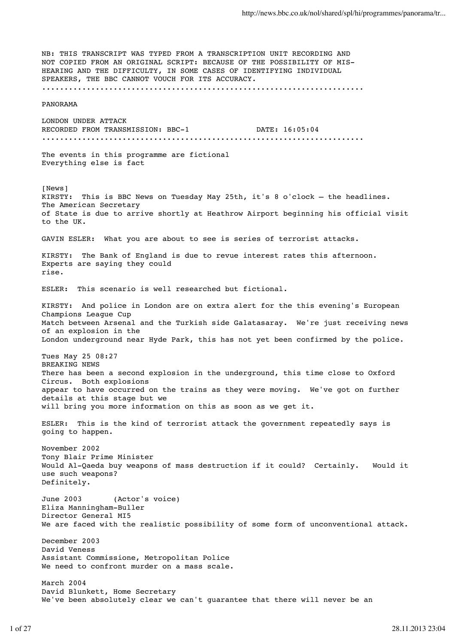NB: THIS TRANSCRIPT WAS TYPED FROM A TRANSCRIPTION UNIT RECORDING AND NOT COPIED FROM AN ORIGINAL SCRIPT: BECAUSE OF THE POSSIBILITY OF MIS-HEARING AND THE DIFFICULTY, IN SOME CASES OF IDENTIFYING INDIVIDUAL SPEAKERS, THE BBC CANNOT VOUCH FOR ITS ACCURACY. ........................................................................ PANORAMA LONDON UNDER ATTACK RECORDED FROM TRANSMISSION: BBC-1 DATE:  $16:05:04$ ........................................................................ The events in this programme are fictional Everything else is fact [News] KIRSTY: This is BBC News on Tuesday May 25th, it's 8 o'clock – the headlines. The American Secretary of State is due to arrive shortly at Heathrow Airport beginning his official visit to the UK. GAVIN ESLER: What you are about to see is series of terrorist attacks. KIRSTY: The Bank of England is due to revue interest rates this afternoon. Experts are saying they could rise. ESLER: This scenario is well researched but fictional. KIRSTY: And police in London are on extra alert for the this evening's European Champions League Cup Match between Arsenal and the Turkish side Galatasaray. We're just receiving news of an explosion in the London underground near Hyde Park, this has not yet been confirmed by the police. Tues May 25 08:27 BREAKING NEWS There has been a second explosion in the underground, this time close to Oxford Circus. Both explosions appear to have occurred on the trains as they were moving. We've got on further details at this stage but we will bring you more information on this as soon as we get it. ESLER: This is the kind of terrorist attack the government repeatedly says is going to happen. November 2002 Tony Blair Prime Minister Would Al-Qaeda buy weapons of mass destruction if it could? Certainly. Would it use such weapons? Definitely. June 2003 (Actor's voice) Eliza Manningham-Buller Director General MI5 We are faced with the realistic possibility of some form of unconventional attack. December 2003 David Veness Assistant Commissione, Metropolitan Police We need to confront murder on a mass scale. March 2004 David Blunkett, Home Secretary We've been absolutely clear we can't guarantee that there will never be an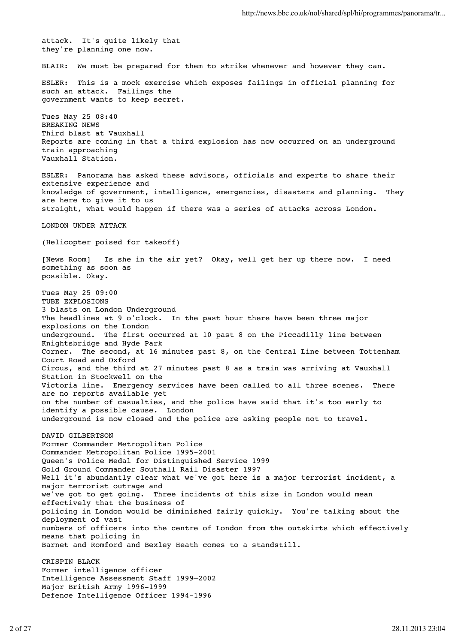attack. It's quite likely that they're planning one now. BLAIR: We must be prepared for them to strike whenever and however they can. ESLER: This is a mock exercise which exposes failings in official planning for such an attack. Failings the government wants to keep secret. Tues May 25 08:40 BREAKING NEWS Third blast at Vauxhall Reports are coming in that a third explosion has now occurred on an underground train approaching Vauxhall Station. ESLER: Panorama has asked these advisors, officials and experts to share their extensive experience and knowledge of government, intelligence, emergencies, disasters and planning. They are here to give it to us straight, what would happen if there was a series of attacks across London. LONDON UNDER ATTACK (Helicopter poised for takeoff) [News Room] Is she in the air yet? Okay, well get her up there now. I need something as soon as possible. Okay. Tues May 25 09:00 TUBE EXPLOSIONS 3 blasts on London Underground The headlines at 9 o'clock. In the past hour there have been three major explosions on the London underground. The first occurred at 10 past 8 on the Piccadilly line between Knightsbridge and Hyde Park Corner. The second, at 16 minutes past 8, on the Central Line between Tottenham Court Road and Oxford Circus, and the third at 27 minutes past 8 as a train was arriving at Vauxhall Station in Stockwell on the Victoria line. Emergency services have been called to all three scenes. There are no reports available yet on the number of casualties, and the police have said that it's too early to identify a possible cause. London underground is now closed and the police are asking people not to travel. DAVID GILBERTSON Former Commander Metropolitan Police Commander Metropolitan Police 1995-2001 Queen's Police Medal for Distinguished Service 1999 Gold Ground Commander Southall Rail Disaster 1997 Well it's abundantly clear what we've got here is a major terrorist incident, a major terrorist outrage and we've got to get going. Three incidents of this size in London would mean effectively that the business of policing in London would be diminished fairly quickly. You're talking about the deployment of vast numbers of officers into the centre of London from the outskirts which effectively means that policing in Barnet and Romford and Bexley Heath comes to a standstill. CRISPIN BLACK Former intelligence officer Intelligence Assessment Staff 1999–2002 Major British Army 1996-1999 Defence Intelligence Officer 1994-1996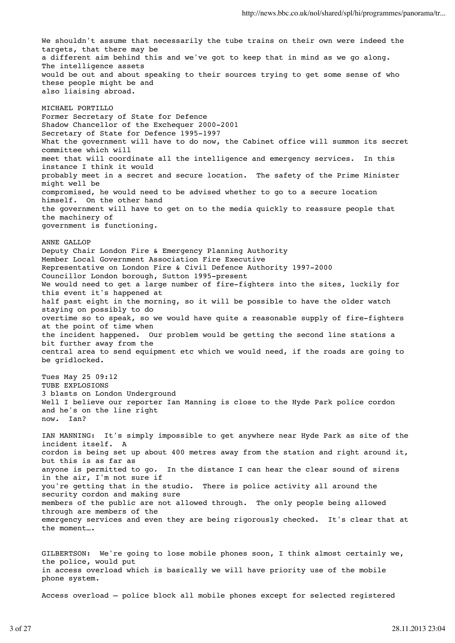We shouldn't assume that necessarily the tube trains on their own were indeed the targets, that there may be a different aim behind this and we've got to keep that in mind as we go along. The intelligence assets would be out and about speaking to their sources trying to get some sense of who these people might be and also liaising abroad. MICHAEL PORTILLO Former Secretary of State for Defence Shadow Chancellor of the Exchequer 2000-2001 Secretary of State for Defence 1995-1997 What the government will have to do now, the Cabinet office will summon its secret committee which will meet that will coordinate all the intelligence and emergency services. In this instance I think it would probably meet in a secret and secure location. The safety of the Prime Minister might well be compromised, he would need to be advised whether to go to a secure location himself. On the other hand the government will have to get on to the media quickly to reassure people that the machinery of government is functioning. ANNE GALLOP Deputy Chair London Fire & Emergency Planning Authority Member Local Government Association Fire Executive Representative on London Fire & Civil Defence Authority 1997-2000 Councillor London borough, Sutton 1995-present We would need to get a large number of fire-fighters into the sites, luckily for this event it's happened at half past eight in the morning, so it will be possible to have the older watch staying on possibly to do overtime so to speak, so we would have quite a reasonable supply of fire-fighters at the point of time when the incident happened. Our problem would be getting the second line stations a bit further away from the central area to send equipment etc which we would need, if the roads are going to be gridlocked. Tues May 25 09:12 TUBE EXPLOSIONS 3 blasts on London Underground Well I believe our reporter Ian Manning is close to the Hyde Park police cordon and he's on the line right now. Ian? IAN MANNING: It's simply impossible to get anywhere near Hyde Park as site of the incident itself. A cordon is being set up about 400 metres away from the station and right around it, but this is as far as anyone is permitted to go. In the distance I can hear the clear sound of sirens in the air, I'm not sure if you're getting that in the studio. There is police activity all around the security cordon and making sure members of the public are not allowed through. The only people being allowed through are members of the emergency services and even they are being rigorously checked. It's clear that at the moment….

GILBERTSON: We're going to lose mobile phones soon, I think almost certainly we, the police, would put in access overload which is basically we will have priority use of the mobile phone system.

Access overload – police block all mobile phones except for selected registered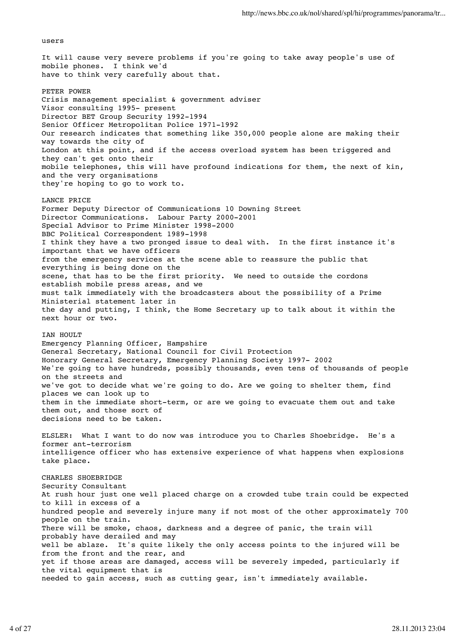users

It will cause very severe problems if you're going to take away people's use of mobile phones. I think we'd have to think very carefully about that. PETER POWER Crisis management specialist & government adviser Visor consulting 1995- present Director BET Group Security 1992-1994 Senior Officer Metropolitan Police 1971-1992 Our research indicates that something like 350,000 people alone are making their way towards the city of London at this point, and if the access overload system has been triggered and they can't get onto their mobile telephones, this will have profound indications for them, the next of kin, and the very organisations they're hoping to go to work to. LANCE PRICE Former Deputy Director of Communications 10 Downing Street Director Communications. Labour Party 2000-2001 Special Advisor to Prime Minister 1998-2000 BBC Political Correspondent 1989-1998 I think they have a two pronged issue to deal with. In the first instance it's important that we have officers from the emergency services at the scene able to reassure the public that everything is being done on the scene, that has to be the first priority. We need to outside the cordons establish mobile press areas, and we must talk immediately with the broadcasters about the possibility of a Prime Ministerial statement later in the day and putting, I think, the Home Secretary up to talk about it within the next hour or two. IAN HOULT Emergency Planning Officer, Hampshire General Secretary, National Council for Civil Protection Honorary General Secretary, Emergency Planning Society 1997- 2002 We're going to have hundreds, possibly thousands, even tens of thousands of people on the streets and we've got to decide what we're going to do. Are we going to shelter them, find places we can look up to them in the immediate short-term, or are we going to evacuate them out and take them out, and those sort of decisions need to be taken. ELSLER: What I want to do now was introduce you to Charles Shoebridge. He's a former ant-terrorism intelligence officer who has extensive experience of what happens when explosions take place. CHARLES SHOEBRIDGE Security Consultant At rush hour just one well placed charge on a crowded tube train could be expected to kill in excess of a hundred people and severely injure many if not most of the other approximately 700 people on the train. There will be smoke, chaos, darkness and a degree of panic, the train will probably have derailed and may well be ablaze. It's quite likely the only access points to the injured will be from the front and the rear, and yet if those areas are damaged, access will be severely impeded, particularly if the vital equipment that is needed to gain access, such as cutting gear, isn't immediately available.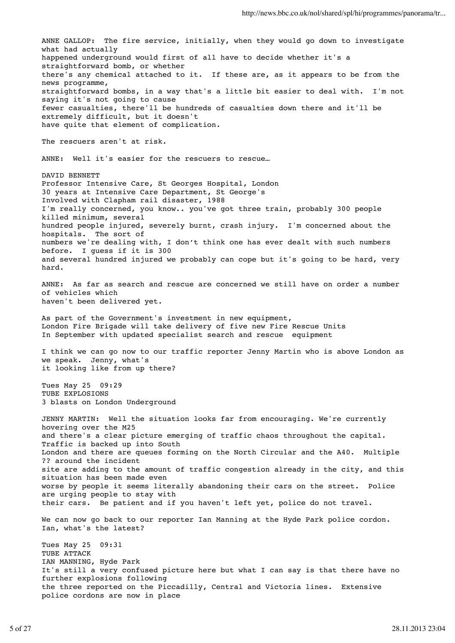ANNE GALLOP: The fire service, initially, when they would go down to investigate what had actually happened underground would first of all have to decide whether it's a straightforward bomb, or whether there's any chemical attached to it. If these are, as it appears to be from the news programme, straightforward bombs, in a way that's a little bit easier to deal with. I'm not saying it's not going to cause fewer casualties, there'll be hundreds of casualties down there and it'll be extremely difficult, but it doesn't have quite that element of complication. The rescuers aren't at risk. ANNE: Well it's easier for the rescuers to rescue... DAVID BENNETT Professor Intensive Care, St Georges Hospital, London 30 years at Intensive Care Department, St George's Involved with Clapham rail disaster, 1988 I'm really concerned, you know.. you've got three train, probably 300 people killed minimum, several hundred people injured, severely burnt, crash injury. I'm concerned about the hospitals. The sort of numbers we're dealing with, I don't think one has ever dealt with such numbers before. I guess if it is 300 and several hundred injured we probably can cope but it's going to be hard, very hard. ANNE: As far as search and rescue are concerned we still have on order a number of vehicles which haven't been delivered yet. As part of the Government's investment in new equipment, London Fire Brigade will take delivery of five new Fire Rescue Units In September with updated specialist search and rescue equipment I think we can go now to our traffic reporter Jenny Martin who is above London as we speak. Jenny, what's it looking like from up there? Tues May 25 09:29 TUBE EXPLOSIONS 3 blasts on London Underground JENNY MARTIN: Well the situation looks far from encouraging. We're currently hovering over the M25 and there's a clear picture emerging of traffic chaos throughout the capital. Traffic is backed up into South London and there are queues forming on the North Circular and the A40. Multiple ?? around the incident site are adding to the amount of traffic congestion already in the city, and this situation has been made even worse by people it seems literally abandoning their cars on the street. Police are urging people to stay with their cars. Be patient and if you haven't left yet, police do not travel. We can now go back to our reporter Ian Manning at the Hyde Park police cordon. Ian, what's the latest? Tues May 25 09:31 TUBE ATTACK IAN MANNING, Hyde Park It's still a very confused picture here but what I can say is that there have no further explosions following the three reported on the Piccadilly, Central and Victoria lines. Extensive police cordons are now in place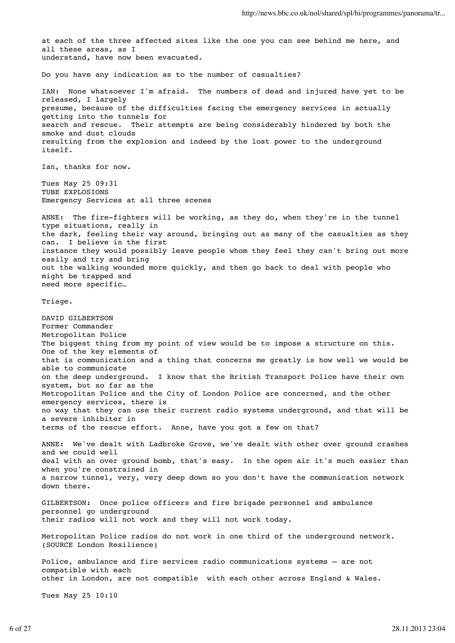at each of the three affected sites like the one you can see behind me here, and all these areas, as I understand, have now been evacuated. Do you have any indication as to the number of casualties? IAN: None whatsoever I'm afraid. The numbers of dead and injured have yet to be released, I largely presume, because of the difficulties facing the emergency services in actually getting into the tunnels for search and rescue. Their attempts are being considerably hindered by both the smoke and dust clouds resulting from the explosion and indeed by the lost power to the underground itself. Ian, thanks for now. Tues May 25 09:31 TUBE EXPLOSIONS Emergency Services at all three scenes ANNE: The fire-fighters will be working, as they do, when they're in the tunnel type situations, really in the dark, feeling their way around, bringing out as many of the casualties as they can. I believe in the first instance they would possibly leave people whom they feel they can't bring out more easily and try and bring out the walking wounded more quickly, and then go back to deal with people who might be trapped and need more specific… Triage. DAVID GILBERTSON Former Commander Metropolitan Police The biggest thing from my point of view would be to impose a structure on this. One of the key elements of that is communication and a thing that concerns me greatly is how well we would be able to communicate on the deep underground. I know that the British Transport Police have their own system, but so far as the Metropolitan Police and the City of London Police are concerned, and the other emergency services, there is no way that they can use their current radio systems underground, and that will be a severe inhibiter in terms of the rescue effort. Anne, have you got a few on that? ANNE: We've dealt with Ladbroke Grove, we've dealt with other over ground crashes and we could well deal with an over ground bomb, that's easy. In the open air it's much easier than when you're constrained in a narrow tunnel, very, very deep down so you don't have the communication network down there. GILBERTSON: Once police officers and fire brigade personnel and ambulance personnel go underground their radios will not work and they will not work today. Metropolitan Police radios do not work in one third of the underground network. (SOURCE London Resilience) Police, ambulance and fire services radio communications systems – are not compatible with each other in London, are not compatible with each other across England & Wales. Tues May 25 10:10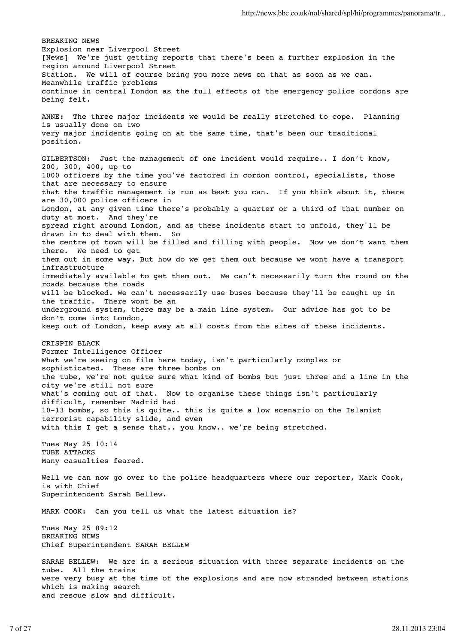BREAKING NEWS Explosion near Liverpool Street [News] We're just getting reports that there's been a further explosion in the region around Liverpool Street Station. We will of course bring you more news on that as soon as we can. Meanwhile traffic problems continue in central London as the full effects of the emergency police cordons are being felt. ANNE: The three major incidents we would be really stretched to cope. Planning is usually done on two very major incidents going on at the same time, that's been our traditional position. GILBERTSON: Just the management of one incident would require.. I don't know, 200, 300, 400, up to 1000 officers by the time you've factored in cordon control, specialists, those that are necessary to ensure that the traffic management is run as best you can. If you think about it, there are 30,000 police officers in London, at any given time there's probably a quarter or a third of that number on duty at most. And they're spread right around London, and as these incidents start to unfold, they'll be drawn in to deal with them. So the centre of town will be filled and filling with people. Now we don't want them there. We need to get them out in some way. But how do we get them out because we wont have a transport infrastructure immediately available to get them out. We can't necessarily turn the round on the roads because the roads will be blocked. We can't necessarily use buses because they'll be caught up in the traffic. There wont be an underground system, there may be a main line system. Our advice has got to be don't come into London, keep out of London, keep away at all costs from the sites of these incidents. CRISPIN BLACK Former Intelligence Officer What we're seeing on film here today, isn't particularly complex or sophisticated. These are three bombs on the tube, we're not quite sure what kind of bombs but just three and a line in the city we're still not sure what's coming out of that. Now to organise these things isn't particularly difficult, remember Madrid had 10-13 bombs, so this is quite.. this is quite a low scenario on the Islamist terrorist capability slide, and even with this I get a sense that.. you know.. we're being stretched. Tues May 25 10:14 TUBE ATTACKS Many casualties feared. Well we can now go over to the police headquarters where our reporter, Mark Cook, is with Chief Superintendent Sarah Bellew. MARK COOK: Can you tell us what the latest situation is? Tues May 25 09:12 BREAKING NEWS Chief Superintendent SARAH BELLEW SARAH BELLEW: We are in a serious situation with three separate incidents on the tube. All the trains were very busy at the time of the explosions and are now stranded between stations which is making search

and rescue slow and difficult.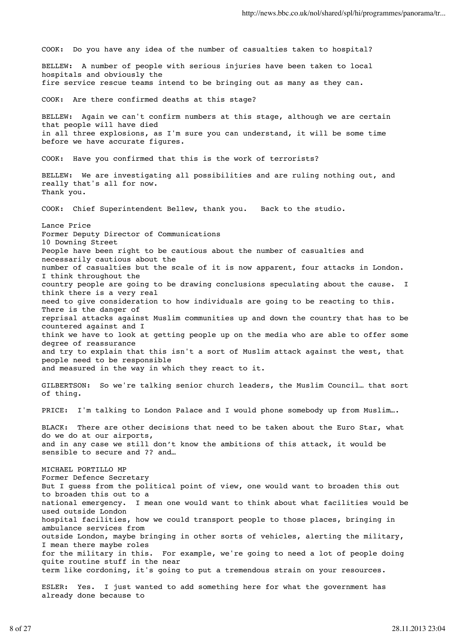COOK: Do you have any idea of the number of casualties taken to hospital? BELLEW: A number of people with serious injuries have been taken to local hospitals and obviously the fire service rescue teams intend to be bringing out as many as they can. COOK: Are there confirmed deaths at this stage? BELLEW: Again we can't confirm numbers at this stage, although we are certain that people will have died in all three explosions, as I'm sure you can understand, it will be some time before we have accurate figures. COOK: Have you confirmed that this is the work of terrorists? BELLEW: We are investigating all possibilities and are ruling nothing out, and really that's all for now. Thank you. COOK: Chief Superintendent Bellew, thank you. Back to the studio. Lance Price Former Deputy Director of Communications 10 Downing Street People have been right to be cautious about the number of casualties and necessarily cautious about the number of casualties but the scale of it is now apparent, four attacks in London. I think throughout the country people are going to be drawing conclusions speculating about the cause. I think there is a very real need to give consideration to how individuals are going to be reacting to this. There is the danger of reprisal attacks against Muslim communities up and down the country that has to be countered against and I think we have to look at getting people up on the media who are able to offer some degree of reassurance and try to explain that this isn't a sort of Muslim attack against the west, that people need to be responsible and measured in the way in which they react to it. GILBERTSON: So we're talking senior church leaders, the Muslim Council… that sort of thing. PRICE: I'm talking to London Palace and I would phone somebody up from Muslim... BLACK: There are other decisions that need to be taken about the Euro Star, what do we do at our airports, and in any case we still don't know the ambitions of this attack, it would be sensible to secure and ?? and… MICHAEL PORTILLO MP Former Defence Secretary But I guess from the political point of view, one would want to broaden this out to broaden this out to a national emergency. I mean one would want to think about what facilities would be used outside London hospital facilities, how we could transport people to those places, bringing in ambulance services from outside London, maybe bringing in other sorts of vehicles, alerting the military, I mean there maybe roles for the military in this. For example, we're going to need a lot of people doing quite routine stuff in the near term like cordoning, it's going to put a tremendous strain on your resources. ESLER: Yes. I just wanted to add something here for what the government has already done because to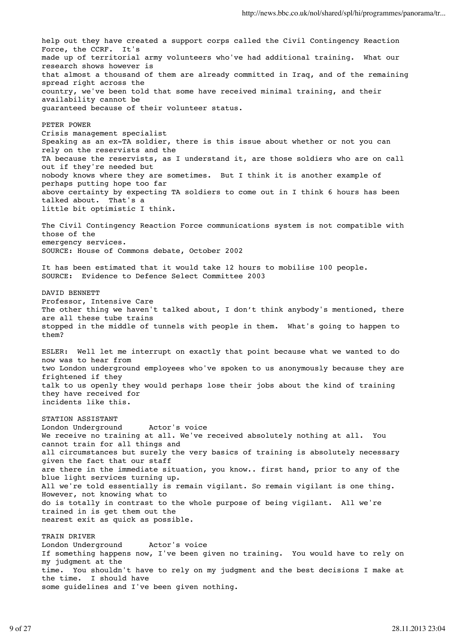help out they have created a support corps called the Civil Contingency Reaction Force, the CCRF. It's made up of territorial army volunteers who've had additional training. What our research shows however is that almost a thousand of them are already committed in Iraq, and of the remaining spread right across the country, we've been told that some have received minimal training, and their availability cannot be guaranteed because of their volunteer status. PETER POWER Crisis management specialist Speaking as an ex-TA soldier, there is this issue about whether or not you can rely on the reservists and the TA because the reservists, as I understand it, are those soldiers who are on call out if they're needed but nobody knows where they are sometimes. But I think it is another example of perhaps putting hope too far above certainty by expecting TA soldiers to come out in I think 6 hours has been talked about. That's a little bit optimistic I think. The Civil Contingency Reaction Force communications system is not compatible with those of the emergency services. SOURCE: House of Commons debate, October 2002 It has been estimated that it would take 12 hours to mobilise 100 people. SOURCE: Evidence to Defence Select Committee 2003 DAVID BENNETT Professor, Intensive Care The other thing we haven't talked about, I don't think anybody's mentioned, there are all these tube trains stopped in the middle of tunnels with people in them. What's going to happen to them? ESLER: Well let me interrupt on exactly that point because what we wanted to do now was to hear from two London underground employees who've spoken to us anonymously because they are frightened if they talk to us openly they would perhaps lose their jobs about the kind of training they have received for incidents like this. STATION ASSISTANT London Underground Actor's voice We receive no training at all. We've received absolutely nothing at all. You cannot train for all things and all circumstances but surely the very basics of training is absolutely necessary given the fact that our staff are there in the immediate situation, you know.. first hand, prior to any of the blue light services turning up. All we're told essentially is remain vigilant. So remain vigilant is one thing. However, not knowing what to do is totally in contrast to the whole purpose of being vigilant. All we're trained in is get them out the nearest exit as quick as possible. TRAIN DRIVER London Underground Actor's voice If something happens now, I've been given no training. You would have to rely on my judgment at the time. You shouldn't have to rely on my judgment and the best decisions I make at the time. I should have

some guidelines and I've been given nothing.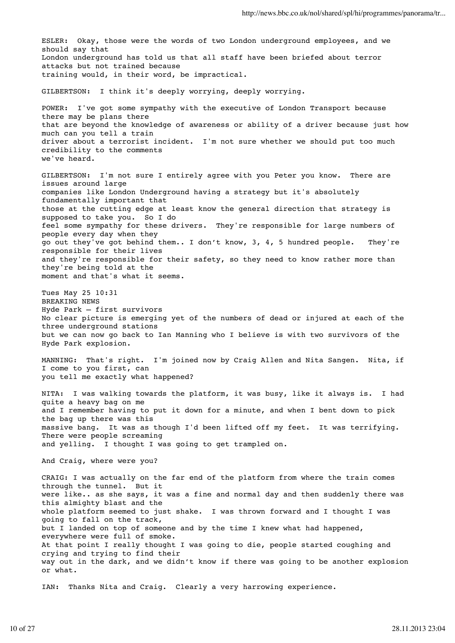ESLER: Okay, those were the words of two London underground employees, and we should say that London underground has told us that all staff have been briefed about terror attacks but not trained because training would, in their word, be impractical. GILBERTSON: I think it's deeply worrying, deeply worrying. POWER: I've got some sympathy with the executive of London Transport because there may be plans there that are beyond the knowledge of awareness or ability of a driver because just how much can you tell a train driver about a terrorist incident. I'm not sure whether we should put too much credibility to the comments we've heard. GILBERTSON: I'm not sure I entirely agree with you Peter you know. There are issues around large companies like London Underground having a strategy but it's absolutely fundamentally important that those at the cutting edge at least know the general direction that strategy is supposed to take you. So I do feel some sympathy for these drivers. They're responsible for large numbers of people every day when they go out they've got behind them.. I don't know, 3, 4, 5 hundred people. They're responsible for their lives and they're responsible for their safety, so they need to know rather more than they're being told at the moment and that's what it seems. Tues May 25 10:31 BREAKING NEWS Hyde Park – first survivors No clear picture is emerging yet of the numbers of dead or injured at each of the three underground stations but we can now go back to Ian Manning who I believe is with two survivors of the Hyde Park explosion. MANNING: That's right. I'm joined now by Craig Allen and Nita Sangen. Nita, if I come to you first, can you tell me exactly what happened? NITA: I was walking towards the platform, it was busy, like it always is. I had quite a heavy bag on me and I remember having to put it down for a minute, and when I bent down to pick the bag up there was this massive bang. It was as though I'd been lifted off my feet. It was terrifying. There were people screaming and yelling. I thought I was going to get trampled on. And Craig, where were you? CRAIG: I was actually on the far end of the platform from where the train comes through the tunnel. But it were like.. as she says, it was a fine and normal day and then suddenly there was this almighty blast and the whole platform seemed to just shake. I was thrown forward and I thought I was going to fall on the track, but I landed on top of someone and by the time I knew what had happened, everywhere were full of smoke. At that point I really thought I was going to die, people started coughing and crying and trying to find their way out in the dark, and we didn't know if there was going to be another explosion or what. IAN: Thanks Nita and Craig. Clearly a very harrowing experience.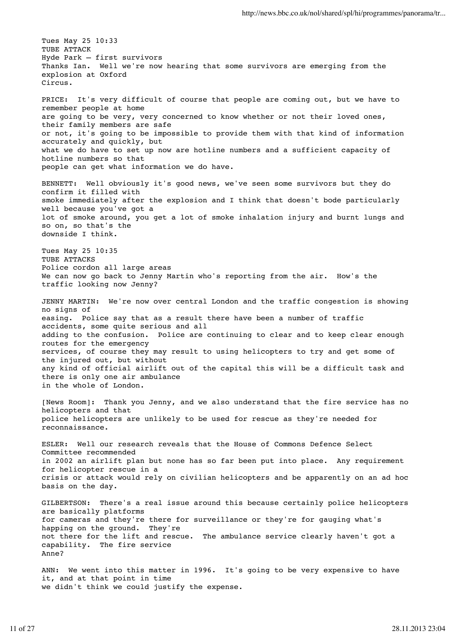Tues May 25 10:33 TUBE ATTACK Hyde Park – first survivors Thanks Ian. Well we're now hearing that some survivors are emerging from the explosion at Oxford Circus. PRICE: It's very difficult of course that people are coming out, but we have to remember people at home are going to be very, very concerned to know whether or not their loved ones, their family members are safe or not, it's going to be impossible to provide them with that kind of information accurately and quickly, but what we do have to set up now are hotline numbers and a sufficient capacity of hotline numbers so that people can get what information we do have. BENNETT: Well obviously it's good news, we've seen some survivors but they do confirm it filled with smoke immediately after the explosion and I think that doesn't bode particularly well because you've got a lot of smoke around, you get a lot of smoke inhalation injury and burnt lungs and so on, so that's the downside I think. Tues May 25 10:35 TUBE ATTACKS Police cordon all large areas We can now go back to Jenny Martin who's reporting from the air. How's the traffic looking now Jenny? JENNY MARTIN: We're now over central London and the traffic congestion is showing no signs of easing. Police say that as a result there have been a number of traffic accidents, some quite serious and all adding to the confusion. Police are continuing to clear and to keep clear enough routes for the emergency services, of course they may result to using helicopters to try and get some of the injured out, but without any kind of official airlift out of the capital this will be a difficult task and there is only one air ambulance in the whole of London. [News Room]: Thank you Jenny, and we also understand that the fire service has no helicopters and that police helicopters are unlikely to be used for rescue as they're needed for reconnaissance. ESLER: Well our research reveals that the House of Commons Defence Select Committee recommended in 2002 an airlift plan but none has so far been put into place. Any requirement for helicopter rescue in a crisis or attack would rely on civilian helicopters and be apparently on an ad hoc basis on the day. GILBERTSON: There's a real issue around this because certainly police helicopters are basically platforms for cameras and they're there for surveillance or they're for gauging what's happing on the ground. They're not there for the lift and rescue. The ambulance service clearly haven't got a capability. The fire service Anne? ANN: We went into this matter in 1996. It's going to be very expensive to have it, and at that point in time we didn't think we could justify the expense.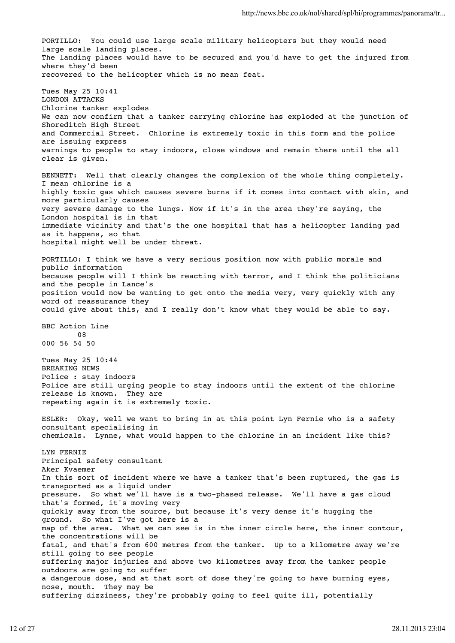PORTILLO: You could use large scale military helicopters but they would need large scale landing places. The landing places would have to be secured and you'd have to get the injured from where they'd been recovered to the helicopter which is no mean feat. Tues May 25 10:41 LONDON ATTACKS Chlorine tanker explodes We can now confirm that a tanker carrying chlorine has exploded at the junction of Shoreditch High Street and Commercial Street. Chlorine is extremely toxic in this form and the police are issuing express warnings to people to stay indoors, close windows and remain there until the all clear is given. BENNETT: Well that clearly changes the complexion of the whole thing completely. I mean chlorine is a highly toxic gas which causes severe burns if it comes into contact with skin, and more particularly causes very severe damage to the lungs. Now if it's in the area they're saying, the London hospital is in that immediate vicinity and that's the one hospital that has a helicopter landing pad as it happens, so that hospital might well be under threat. PORTILLO: I think we have a very serious position now with public morale and public information because people will I think be reacting with terror, and I think the politicians and the people in Lance's position would now be wanting to get onto the media very, very quickly with any word of reassurance they could give about this, and I really don't know what they would be able to say. BBC Action Line 08 000 56 54 50 Tues May 25 10:44 BREAKING NEWS Police : stay indoors Police are still urging people to stay indoors until the extent of the chlorine release is known. They are repeating again it is extremely toxic. ESLER: Okay, well we want to bring in at this point Lyn Fernie who is a safety consultant specialising in chemicals. Lynne, what would happen to the chlorine in an incident like this? LYN FERNIE Principal safety consultant Aker Kvaemer In this sort of incident where we have a tanker that's been ruptured, the gas is transported as a liquid under pressure. So what we'll have is a two-phased release. We'll have a gas cloud that's formed, it's moving very quickly away from the source, but because it's very dense it's hugging the ground. So what I've got here is a map of the area. What we can see is in the inner circle here, the inner contour, the concentrations will be fatal, and that's from 600 metres from the tanker. Up to a kilometre away we're still going to see people suffering major injuries and above two kilometres away from the tanker people outdoors are going to suffer a dangerous dose, and at that sort of dose they're going to have burning eyes, nose, mouth. They may be suffering dizziness, they're probably going to feel quite ill, potentially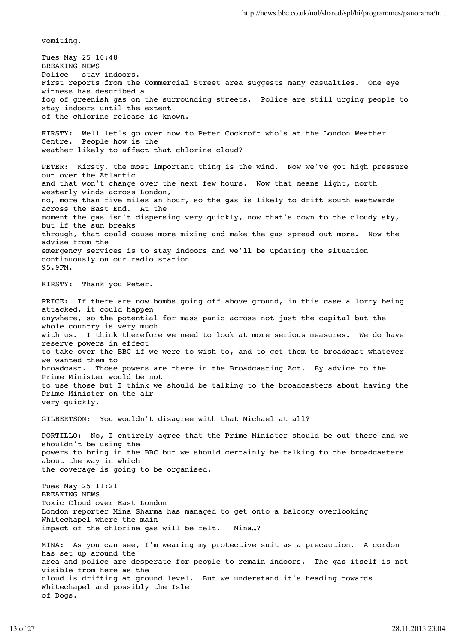vomiting.

Tues May 25 10:48 BREAKING NEWS Police – stay indoors. First reports from the Commercial Street area suggests many casualties. One eye witness has described a fog of greenish gas on the surrounding streets. Police are still urging people to stay indoors until the extent of the chlorine release is known. KIRSTY: Well let's go over now to Peter Cockroft who's at the London Weather Centre. People how is the weather likely to affect that chlorine cloud? PETER: Kirsty, the most important thing is the wind. Now we've got high pressure out over the Atlantic and that won't change over the next few hours. Now that means light, north westerly winds across London, no, more than five miles an hour, so the gas is likely to drift south eastwards across the East End. At the moment the gas isn't dispersing very quickly, now that's down to the cloudy sky, but if the sun breaks through, that could cause more mixing and make the gas spread out more. Now the advise from the emergency services is to stay indoors and we'll be updating the situation continuously on our radio station 95.9FM. KIRSTY: Thank you Peter. PRICE: If there are now bombs going off above ground, in this case a lorry being attacked, it could happen anywhere, so the potential for mass panic across not just the capital but the whole country is very much with us. I think therefore we need to look at more serious measures. We do have reserve powers in effect to take over the BBC if we were to wish to, and to get them to broadcast whatever we wanted them to broadcast. Those powers are there in the Broadcasting Act. By advice to the Prime Minister would be not to use those but I think we should be talking to the broadcasters about having the Prime Minister on the air very quickly. GILBERTSON: You wouldn't disagree with that Michael at all? PORTILLO: No, I entirely agree that the Prime Minister should be out there and we shouldn't be using the powers to bring in the BBC but we should certainly be talking to the broadcasters about the way in which the coverage is going to be organised. Tues May 25 11:21 BREAKING NEWS Toxic Cloud over East London London reporter Mina Sharma has managed to get onto a balcony overlooking Whitechapel where the main impact of the chlorine gas will be felt. Mina…? MINA: As you can see, I'm wearing my protective suit as a precaution. A cordon has set up around the area and police are desperate for people to remain indoors. The gas itself is not visible from here as the cloud is drifting at ground level. But we understand it's heading towards Whitechapel and possibly the Isle of Dogs.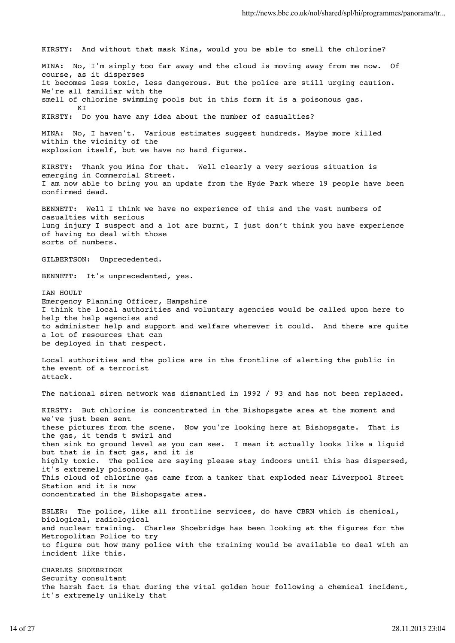KIRSTY: And without that mask Nina, would you be able to smell the chlorine? MINA: No, I'm simply too far away and the cloud is moving away from me now. Of course, as it disperses it becomes less toxic, less dangerous. But the police are still urging caution. We're all familiar with the smell of chlorine swimming pools but in this form it is a poisonous gas. KI KIRSTY: Do you have any idea about the number of casualties? MINA: No, I haven't. Various estimates suggest hundreds. Maybe more killed within the vicinity of the explosion itself, but we have no hard figures. KIRSTY: Thank you Mina for that. Well clearly a very serious situation is emerging in Commercial Street. I am now able to bring you an update from the Hyde Park where 19 people have been confirmed dead. BENNETT: Well I think we have no experience of this and the vast numbers of casualties with serious lung injury I suspect and a lot are burnt, I just don't think you have experience of having to deal with those sorts of numbers. GILBERTSON: Unprecedented. BENNETT: It's unprecedented, yes. IAN HOULT Emergency Planning Officer, Hampshire I think the local authorities and voluntary agencies would be called upon here to help the help agencies and to administer help and support and welfare wherever it could. And there are quite a lot of resources that can be deployed in that respect. Local authorities and the police are in the frontline of alerting the public in the event of a terrorist attack. The national siren network was dismantled in 1992 / 93 and has not been replaced. KIRSTY: But chlorine is concentrated in the Bishopsgate area at the moment and we've just been sent these pictures from the scene. Now you're looking here at Bishopsgate. That is the gas, it tends t swirl and then sink to ground level as you can see. I mean it actually looks like a liquid but that is in fact gas, and it is highly toxic. The police are saying please stay indoors until this has dispersed, it's extremely poisonous. This cloud of chlorine gas came from a tanker that exploded near Liverpool Street Station and it is now concentrated in the Bishopsgate area. ESLER: The police, like all frontline services, do have CBRN which is chemical, biological, radiological and nuclear training. Charles Shoebridge has been looking at the figures for the Metropolitan Police to try to figure out how many police with the training would be available to deal with an incident like this. CHARLES SHOEBRIDGE Security consultant

The harsh fact is that during the vital golden hour following a chemical incident, it's extremely unlikely that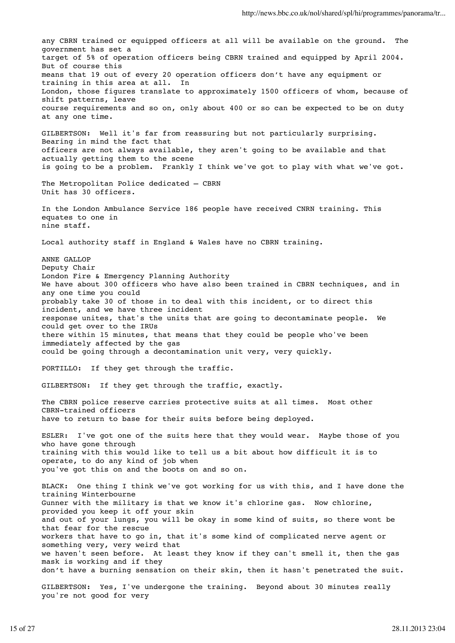any CBRN trained or equipped officers at all will be available on the ground. The government has set a target of 5% of operation officers being CBRN trained and equipped by April 2004. But of course this means that 19 out of every 20 operation officers don't have any equipment or training in this area at all. In London, those figures translate to approximately 1500 officers of whom, because of shift patterns, leave course requirements and so on, only about 400 or so can be expected to be on duty at any one time. GILBERTSON: Well it's far from reassuring but not particularly surprising. Bearing in mind the fact that officers are not always available, they aren't going to be available and that actually getting them to the scene is going to be a problem. Frankly I think we've got to play with what we've got. The Metropolitan Police dedicated – CBRN Unit has 30 officers. In the London Ambulance Service 186 people have received CNRN training. This equates to one in nine staff. Local authority staff in England & Wales have no CBRN training. ANNE GALLOP Deputy Chair London Fire & Emergency Planning Authority We have about 300 officers who have also been trained in CBRN techniques, and in any one time you could probably take 30 of those in to deal with this incident, or to direct this incident, and we have three incident response unites, that's the units that are going to decontaminate people. We could get over to the IRUs there within 15 minutes, that means that they could be people who've been immediately affected by the gas could be going through a decontamination unit very, very quickly. PORTILLO: If they get through the traffic. GILBERTSON: If they get through the traffic, exactly. The CBRN police reserve carries protective suits at all times. Most other CBRN-trained officers have to return to base for their suits before being deployed. ESLER: I've got one of the suits here that they would wear. Maybe those of you who have gone through training with this would like to tell us a bit about how difficult it is to operate, to do any kind of job when you've got this on and the boots on and so on. BLACK: One thing I think we've got working for us with this, and I have done the training Winterbourne Gunner with the military is that we know it's chlorine gas. Now chlorine, provided you keep it off your skin and out of your lungs, you will be okay in some kind of suits, so there wont be that fear for the rescue workers that have to go in, that it's some kind of complicated nerve agent or something very, very weird that we haven't seen before. At least they know if they can't smell it, then the gas mask is working and if they don't have a burning sensation on their skin, then it hasn't penetrated the suit. GILBERTSON: Yes, I've undergone the training. Beyond about 30 minutes really you're not good for very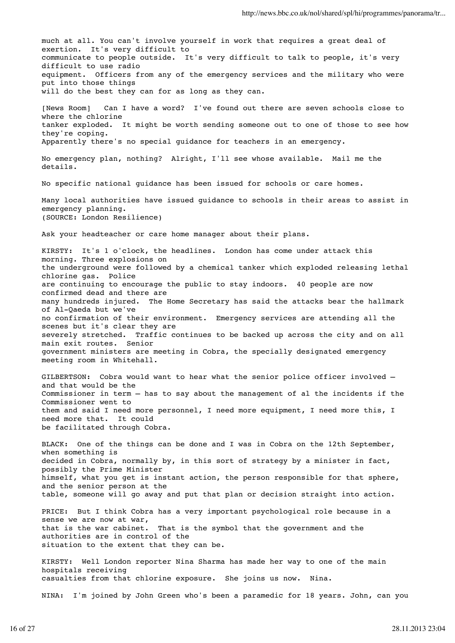much at all. You can't involve yourself in work that requires a great deal of exertion. It's very difficult to communicate to people outside. It's very difficult to talk to people, it's very difficult to use radio equipment. Officers from any of the emergency services and the military who were put into those things will do the best they can for as long as they can. [News Room] Can I have a word? I've found out there are seven schools close to where the chlorine tanker exploded. It might be worth sending someone out to one of those to see how they're coping. Apparently there's no special guidance for teachers in an emergency. No emergency plan, nothing? Alright, I'll see whose available. Mail me the details. No specific national guidance has been issued for schools or care homes. Many local authorities have issued guidance to schools in their areas to assist in emergency planning. (SOURCE: London Resilience) Ask your headteacher or care home manager about their plans. KIRSTY: It's 1 o'clock, the headlines. London has come under attack this morning. Three explosions on the underground were followed by a chemical tanker which exploded releasing lethal chlorine gas. Police are continuing to encourage the public to stay indoors. 40 people are now confirmed dead and there are many hundreds injured. The Home Secretary has said the attacks bear the hallmark of Al-Qaeda but we've no confirmation of their environment. Emergency services are attending all the scenes but it's clear they are severely stretched. Traffic continues to be backed up across the city and on all main exit routes. Senior government ministers are meeting in Cobra, the specially designated emergency meeting room in Whitehall. GILBERTSON: Cobra would want to hear what the senior police officer involved – and that would be the Commissioner in term – has to say about the management of al the incidents if the Commissioner went to them and said I need more personnel, I need more equipment, I need more this, I need more that. It could be facilitated through Cobra. BLACK: One of the things can be done and I was in Cobra on the 12th September, when something is decided in Cobra, normally by, in this sort of strategy by a minister in fact, possibly the Prime Minister himself, what you get is instant action, the person responsible for that sphere, and the senior person at the table, someone will go away and put that plan or decision straight into action. PRICE: But I think Cobra has a very important psychological role because in a sense we are now at war, that is the war cabinet. That is the symbol that the government and the authorities are in control of the situation to the extent that they can be. KIRSTY: Well London reporter Nina Sharma has made her way to one of the main hospitals receiving casualties from that chlorine exposure. She joins us now. Nina.

NINA: I'm joined by John Green who's been a paramedic for 18 years. John, can you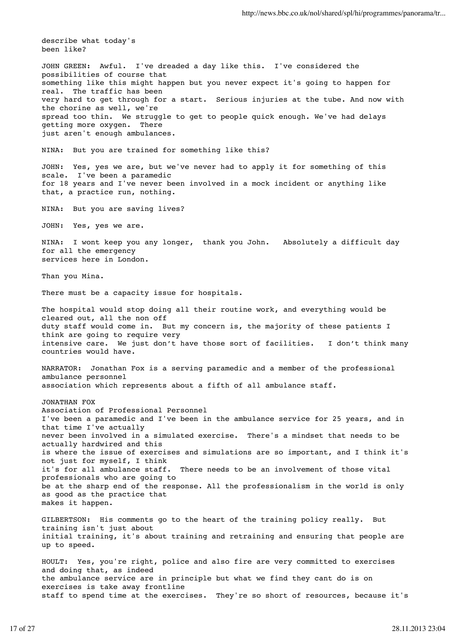describe what today's been like? JOHN GREEN: Awful. I've dreaded a day like this. I've considered the possibilities of course that something like this might happen but you never expect it's going to happen for real. The traffic has been very hard to get through for a start. Serious injuries at the tube. And now with the chorine as well, we're spread too thin. We struggle to get to people quick enough. We've had delays getting more oxygen. There just aren't enough ambulances. NINA: But you are trained for something like this? JOHN: Yes, yes we are, but we've never had to apply it for something of this scale. I've been a paramedic for 18 years and I've never been involved in a mock incident or anything like that, a practice run, nothing. NINA: But you are saving lives? JOHN: Yes, yes we are. NINA: I wont keep you any longer, thank you John. Absolutely a difficult day for all the emergency services here in London. Than you Mina. There must be a capacity issue for hospitals. The hospital would stop doing all their routine work, and everything would be cleared out, all the non off duty staff would come in. But my concern is, the majority of these patients I think are going to require very intensive care. We just don't have those sort of facilities. I don't think many countries would have. NARRATOR: Jonathan Fox is a serving paramedic and a member of the professional ambulance personnel association which represents about a fifth of all ambulance staff. JONATHAN FOX Association of Professional Personnel I've been a paramedic and I've been in the ambulance service for 25 years, and in that time I've actually never been involved in a simulated exercise. There's a mindset that needs to be actually hardwired and this is where the issue of exercises and simulations are so important, and I think it's not just for myself, I think it's for all ambulance staff. There needs to be an involvement of those vital professionals who are going to be at the sharp end of the response. All the professionalism in the world is only as good as the practice that makes it happen. GILBERTSON: His comments go to the heart of the training policy really. But training isn't just about initial training, it's about training and retraining and ensuring that people are up to speed. HOULT: Yes, you're right, police and also fire are very committed to exercises and doing that, as indeed the ambulance service are in principle but what we find they cant do is on exercises is take away frontline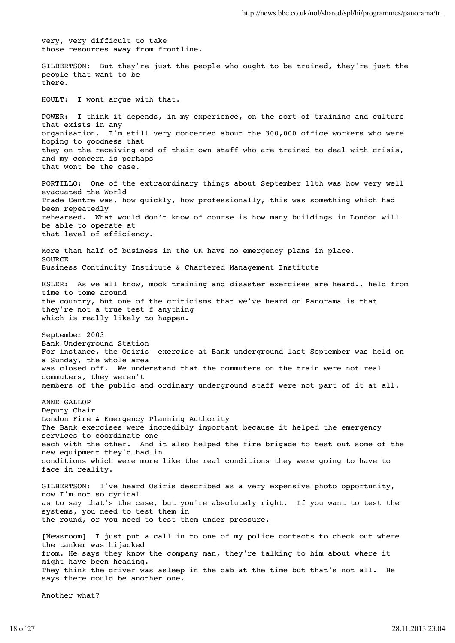very, very difficult to take those resources away from frontline.

GILBERTSON: But they're just the people who ought to be trained, they're just the people that want to be there.

HOULT: I wont argue with that.

POWER: I think it depends, in my experience, on the sort of training and culture that exists in any organisation. I'm still very concerned about the 300,000 office workers who were hoping to goodness that they on the receiving end of their own staff who are trained to deal with crisis, and my concern is perhaps that wont be the case.

PORTILLO: One of the extraordinary things about September 11th was how very well evacuated the World Trade Centre was, how quickly, how professionally, this was something which had been repeatedly rehearsed. What would don't know of course is how many buildings in London will be able to operate at that level of efficiency.

More than half of business in the UK have no emergency plans in place. **SOURCE** Business Continuity Institute & Chartered Management Institute

ESLER: As we all know, mock training and disaster exercises are heard.. held from time to tome around the country, but one of the criticisms that we've heard on Panorama is that they're not a true test f anything which is really likely to happen.

September 2003 Bank Underground Station For instance, the Osiris exercise at Bank underground last September was held on a Sunday, the whole area was closed off. We understand that the commuters on the train were not real commuters, they weren't members of the public and ordinary underground staff were not part of it at all.

ANNE GALLOP Deputy Chair London Fire & Emergency Planning Authority The Bank exercises were incredibly important because it helped the emergency services to coordinate one each with the other. And it also helped the fire brigade to test out some of the new equipment they'd had in conditions which were more like the real conditions they were going to have to face in reality.

GILBERTSON: I've heard Osiris described as a very expensive photo opportunity, now I'm not so cynical as to say that's the case, but you're absolutely right. If you want to test the systems, you need to test them in the round, or you need to test them under pressure.

[Newsroom] I just put a call in to one of my police contacts to check out where the tanker was hijacked from. He says they know the company man, they're talking to him about where it might have been heading. They think the driver was asleep in the cab at the time but that's not all. He says there could be another one.

Another what?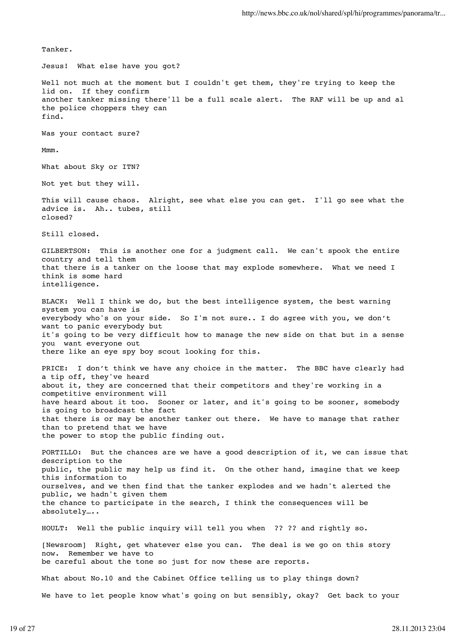Tanker. Jesus! What else have you got? Well not much at the moment but I couldn't get them, they're trying to keep the lid on. If they confirm another tanker missing there'll be a full scale alert. The RAF will be up and al the police choppers they can find. Was your contact sure? Mmm. What about Sky or ITN? Not yet but they will. This will cause chaos. Alright, see what else you can get. I'll go see what the advice is. Ah.. tubes, still closed? Still closed. GILBERTSON: This is another one for a judgment call. We can't spook the entire country and tell them that there is a tanker on the loose that may explode somewhere. What we need I think is some hard intelligence. BLACK: Well I think we do, but the best intelligence system, the best warning system you can have is everybody who's on your side. So I'm not sure.. I do agree with you, we don't want to panic everybody but it's going to be very difficult how to manage the new side on that but in a sense you want everyone out there like an eye spy boy scout looking for this. PRICE: I don't think we have any choice in the matter. The BBC have clearly had a tip off, they've heard about it, they are concerned that their competitors and they're working in a competitive environment will have heard about it too. Sooner or later, and it's going to be sooner, somebody is going to broadcast the fact that there is or may be another tanker out there. We have to manage that rather than to pretend that we have the power to stop the public finding out. PORTILLO: But the chances are we have a good description of it, we can issue that description to the public, the public may help us find it. On the other hand, imagine that we keep this information to ourselves, and we then find that the tanker explodes and we hadn't alerted the public, we hadn't given them the chance to participate in the search, I think the consequences will be absolutely….. HOULT: Well the public inquiry will tell you when ?? ?? and rightly so. [Newsroom] Right, get whatever else you can. The deal is we go on this story now. Remember we have to be careful about the tone so just for now these are reports. What about No.10 and the Cabinet Office telling us to play things down?

We have to let people know what's going on but sensibly, okay? Get back to your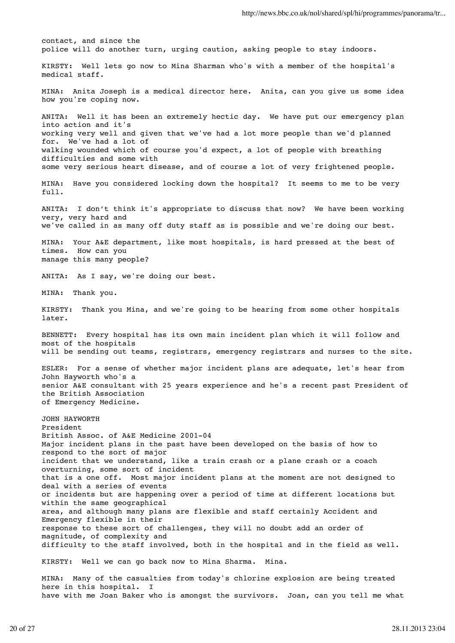contact, and since the police will do another turn, urging caution, asking people to stay indoors. KIRSTY: Well lets go now to Mina Sharman who's with a member of the hospital's medical staff. MINA: Anita Joseph is a medical director here. Anita, can you give us some idea how you're coping now. ANITA: Well it has been an extremely hectic day. We have put our emergency plan into action and it's working very well and given that we've had a lot more people than we'd planned for. We've had a lot of walking wounded which of course you'd expect, a lot of people with breathing difficulties and some with some very serious heart disease, and of course a lot of very frightened people. MINA: Have you considered locking down the hospital? It seems to me to be very  $f_{11}$ ]. ANITA: I don't think it's appropriate to discuss that now? We have been working very, very hard and we've called in as many off duty staff as is possible and we're doing our best. MINA: Your A&E department, like most hospitals, is hard pressed at the best of times. How can you manage this many people? ANITA: As I say, we're doing our best. MINA: Thank you. KIRSTY: Thank you Mina, and we're going to be hearing from some other hospitals later. BENNETT: Every hospital has its own main incident plan which it will follow and most of the hospitals will be sending out teams, registrars, emergency registrars and nurses to the site. ESLER: For a sense of whether major incident plans are adequate, let's hear from John Hayworth who's a senior A&E consultant with 25 years experience and he's a recent past President of the British Association of Emergency Medicine. JOHN HAYWORTH President British Assoc. of A&E Medicine 2001-04 Major incident plans in the past have been developed on the basis of how to respond to the sort of major incident that we understand, like a train crash or a plane crash or a coach overturning, some sort of incident that is a one off. Most major incident plans at the moment are not designed to deal with a series of events or incidents but are happening over a period of time at different locations but within the same geographical area, and although many plans are flexible and staff certainly Accident and Emergency flexible in their response to these sort of challenges, they will no doubt add an order of magnitude, of complexity and difficulty to the staff involved, both in the hospital and in the field as well. KIRSTY: Well we can go back now to Mina Sharma. Mina. MINA: Many of the casualties from today's chlorine explosion are being treated here in this hospital. I have with me Joan Baker who is amongst the survivors. Joan, can you tell me what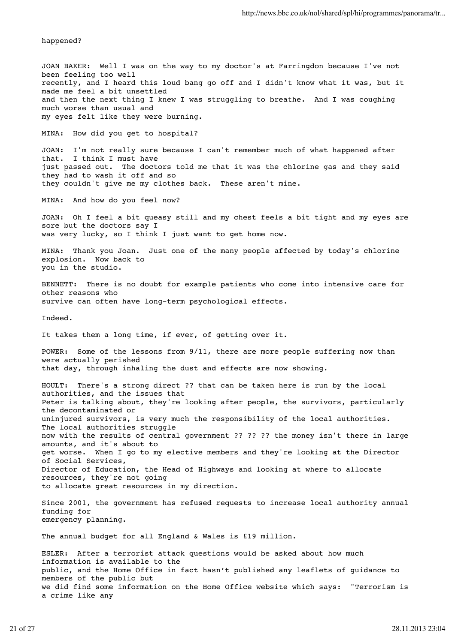happened?

JOAN BAKER: Well I was on the way to my doctor's at Farringdon because I've not been feeling too well recently, and I heard this loud bang go off and I didn't know what it was, but it made me feel a bit unsettled and then the next thing I knew I was struggling to breathe. And I was coughing much worse than usual and my eyes felt like they were burning.

MINA: How did you get to hospital?

JOAN: I'm not really sure because I can't remember much of what happened after that. I think I must have just passed out. The doctors told me that it was the chlorine gas and they said they had to wash it off and so they couldn't give me my clothes back. These aren't mine.

MINA: And how do you feel now?

JOAN: Oh I feel a bit queasy still and my chest feels a bit tight and my eyes are sore but the doctors say I was very lucky, so I think I just want to get home now.

MINA: Thank you Joan. Just one of the many people affected by today's chlorine explosion. Now back to you in the studio.

BENNETT: There is no doubt for example patients who come into intensive care for other reasons who survive can often have long-term psychological effects.

Indeed.

It takes them a long time, if ever, of getting over it.

POWER: Some of the lessons from 9/11, there are more people suffering now than were actually perished that day, through inhaling the dust and effects are now showing.

HOULT: There's a strong direct ?? that can be taken here is run by the local authorities, and the issues that Peter is talking about, they're looking after people, the survivors, particularly the decontaminated or uninjured survivors, is very much the responsibility of the local authorities. The local authorities struggle now with the results of central government ?? ?? ?? the money isn't there in large amounts, and it's about to get worse. When I go to my elective members and they're looking at the Director of Social Services, Director of Education, the Head of Highways and looking at where to allocate resources, they're not going to allocate great resources in my direction.

Since 2001, the government has refused requests to increase local authority annual funding for emergency planning.

The annual budget for all England & Wales is £19 million.

ESLER: After a terrorist attack questions would be asked about how much information is available to the public, and the Home Office in fact hasn't published any leaflets of guidance to members of the public but we did find some information on the Home Office website which says: "Terrorism is a crime like any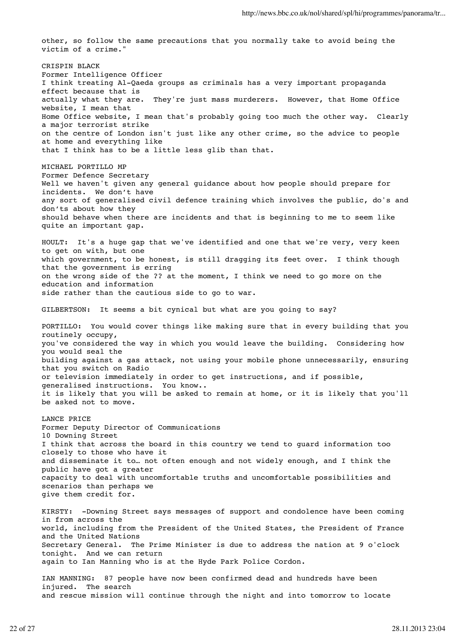other, so follow the same precautions that you normally take to avoid being the victim of a crime."

CRISPIN BLACK Former Intelligence Officer I think treating Al-Qaeda groups as criminals has a very important propaganda effect because that is actually what they are. They're just mass murderers. However, that Home Office website, I mean that Home Office website, I mean that's probably going too much the other way. Clearly a major terrorist strike on the centre of London isn't just like any other crime, so the advice to people at home and everything like that I think has to be a little less glib than that.

MICHAEL PORTILLO MP

Former Defence Secretary Well we haven't given any general guidance about how people should prepare for incidents. We don't have any sort of generalised civil defence training which involves the public, do's and don'ts about how they should behave when there are incidents and that is beginning to me to seem like quite an important gap.

HOULT: It's a huge gap that we've identified and one that we're very, very keen to get on with, but one which government, to be honest, is still dragging its feet over. I think though that the government is erring on the wrong side of the ?? at the moment, I think we need to go more on the education and information side rather than the cautious side to go to war.

GILBERTSON: It seems a bit cynical but what are you going to say?

PORTILLO: You would cover things like making sure that in every building that you routinely occupy, you've considered the way in which you would leave the building. Considering how you would seal the building against a gas attack, not using your mobile phone unnecessarily, ensuring that you switch on Radio or television immediately in order to get instructions, and if possible, generalised instructions. You know.. it is likely that you will be asked to remain at home, or it is likely that you'll be asked not to move.

LANCE PRICE Former Deputy Director of Communications 10 Downing Street I think that across the board in this country we tend to guard information too closely to those who have it and disseminate it to… not often enough and not widely enough, and I think the public have got a greater capacity to deal with uncomfortable truths and uncomfortable possibilities and scenarios than perhaps we give them credit for.

KIRSTY: -Downing Street says messages of support and condolence have been coming in from across the world, including from the President of the United States, the President of France and the United Nations Secretary General. The Prime Minister is due to address the nation at 9 o'clock tonight. And we can return again to Ian Manning who is at the Hyde Park Police Cordon.

IAN MANNING: 87 people have now been confirmed dead and hundreds have been injured. The search and rescue mission will continue through the night and into tomorrow to locate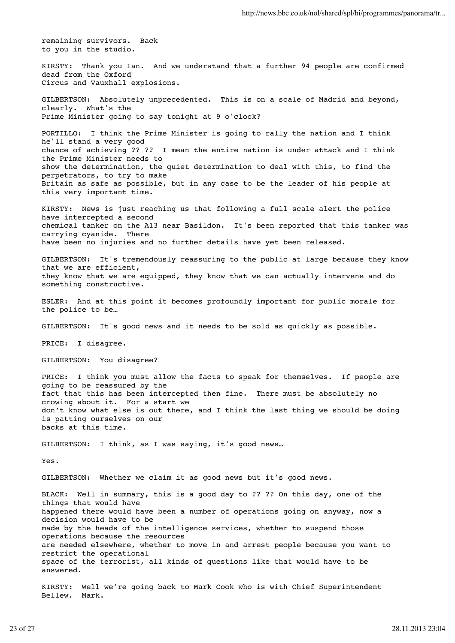remaining survivors. Back to you in the studio.

KIRSTY: Thank you Ian. And we understand that a further 94 people are confirmed dead from the Oxford Circus and Vauxhall explosions.

GILBERTSON: Absolutely unprecedented. This is on a scale of Madrid and beyond, clearly. What's the Prime Minister going to say tonight at 9 o'clock?

PORTILLO: I think the Prime Minister is going to rally the nation and I think he'll stand a very good chance of achieving ?? ?? I mean the entire nation is under attack and I think the Prime Minister needs to show the determination, the quiet determination to deal with this, to find the perpetrators, to try to make Britain as safe as possible, but in any case to be the leader of his people at this very important time.

KIRSTY: News is just reaching us that following a full scale alert the police have intercepted a second chemical tanker on the A13 near Basildon. It's been reported that this tanker was carrying cyanide. There have been no injuries and no further details have yet been released.

GILBERTSON: It's tremendously reassuring to the public at large because they know that we are efficient, they know that we are equipped, they know that we can actually intervene and do something constructive.

ESLER: And at this point it becomes profoundly important for public morale for the police to be…

GILBERTSON: It's good news and it needs to be sold as quickly as possible.

PRICE: I disagree.

GILBERTSON: You disagree?

PRICE: I think you must allow the facts to speak for themselves. If people are going to be reassured by the fact that this has been intercepted then fine. There must be absolutely no crowing about it. For a start we don't know what else is out there, and I think the last thing we should be doing is patting ourselves on our backs at this time.

GILBERTSON: I think, as I was saying, it's good news…

Yes.

GILBERTSON: Whether we claim it as good news but it's good news.

BLACK: Well in summary, this is a good day to ?? ?? On this day, one of the things that would have happened there would have been a number of operations going on anyway, now a decision would have to be made by the heads of the intelligence services, whether to suspend those operations because the resources are needed elsewhere, whether to move in and arrest people because you want to restrict the operational space of the terrorist, all kinds of questions like that would have to be answered.

KIRSTY: Well we're going back to Mark Cook who is with Chief Superintendent Bellew. Mark.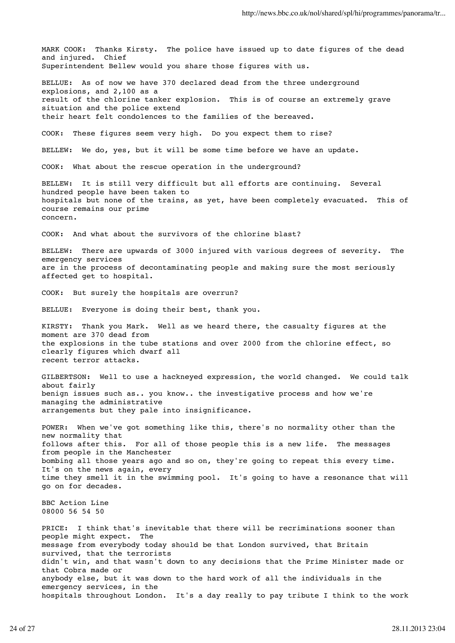MARK COOK: Thanks Kirsty. The police have issued up to date figures of the dead and injured. Chief Superintendent Bellew would you share those figures with us. BELLUE: As of now we have 370 declared dead from the three underground explosions, and 2,100 as a result of the chlorine tanker explosion. This is of course an extremely grave situation and the police extend their heart felt condolences to the families of the bereaved. COOK: These figures seem very high. Do you expect them to rise? BELLEW: We do, yes, but it will be some time before we have an update. COOK: What about the rescue operation in the underground? BELLEW: It is still very difficult but all efforts are continuing. Several hundred people have been taken to hospitals but none of the trains, as yet, have been completely evacuated. This of course remains our prime concern. COOK: And what about the survivors of the chlorine blast? BELLEW: There are upwards of 3000 injured with various degrees of severity. The emergency services are in the process of decontaminating people and making sure the most seriously affected get to hospital. COOK: But surely the hospitals are overrun? BELLUE: Everyone is doing their best, thank you. KIRSTY: Thank you Mark. Well as we heard there, the casualty figures at the moment are 370 dead from the explosions in the tube stations and over 2000 from the chlorine effect, so clearly figures which dwarf all recent terror attacks. GILBERTSON: Well to use a hackneyed expression, the world changed. We could talk about fairly benign issues such as.. you know.. the investigative process and how we're managing the administrative arrangements but they pale into insignificance. POWER: When we've got something like this, there's no normality other than the new normality that follows after this. For all of those people this is a new life. The messages from people in the Manchester bombing all those years ago and so on, they're going to repeat this every time. It's on the news again, every time they smell it in the swimming pool. It's going to have a resonance that will go on for decades. BBC Action Line 08000 56 54 50 PRICE: I think that's inevitable that there will be recriminations sooner than people might expect. The message from everybody today should be that London survived, that Britain survived, that the terrorists didn't win, and that wasn't down to any decisions that the Prime Minister made or that Cobra made or anybody else, but it was down to the hard work of all the individuals in the emergency services, in the hospitals throughout London. It's a day really to pay tribute I think to the work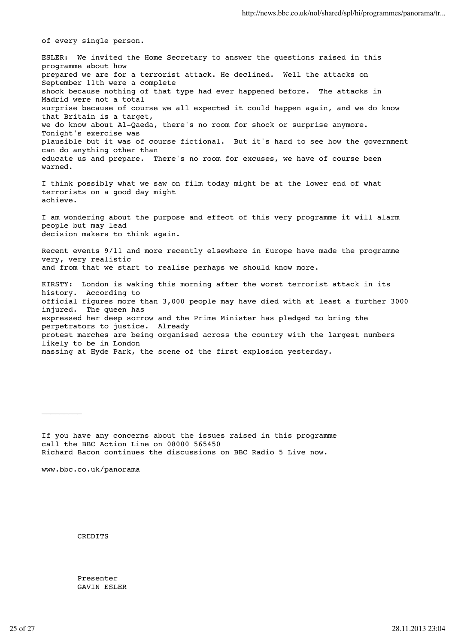of every single person.

ESLER: We invited the Home Secretary to answer the questions raised in this programme about how prepared we are for a terrorist attack. He declined. Well the attacks on September 11th were a complete shock because nothing of that type had ever happened before. The attacks in Madrid were not a total surprise because of course we all expected it could happen again, and we do know that Britain is a target, we do know about Al-Qaeda, there's no room for shock or surprise anymore. Tonight's exercise was plausible but it was of course fictional. But it's hard to see how the government can do anything other than educate us and prepare. There's no room for excuses, we have of course been warned. I think possibly what we saw on film today might be at the lower end of what

terrorists on a good day might achieve.

I am wondering about the purpose and effect of this very programme it will alarm people but may lead decision makers to think again.

Recent events 9/11 and more recently elsewhere in Europe have made the programme very, very realistic and from that we start to realise perhaps we should know more.

KIRSTY: London is waking this morning after the worst terrorist attack in its history. According to official figures more than 3,000 people may have died with at least a further 3000 injured. The queen has expressed her deep sorrow and the Prime Minister has pledged to bring the perpetrators to justice. Already protest marches are being organised across the country with the largest numbers likely to be in London massing at Hyde Park, the scene of the first explosion yesterday.

If you have any concerns about the issues raised in this programme call the BBC Action Line on 08000 565450 Richard Bacon continues the discussions on BBC Radio 5 Live now.

www.bbc.co.uk/panorama

 $\mathcal{L}$ 

CREDITS

Presenter GAVIN ESLER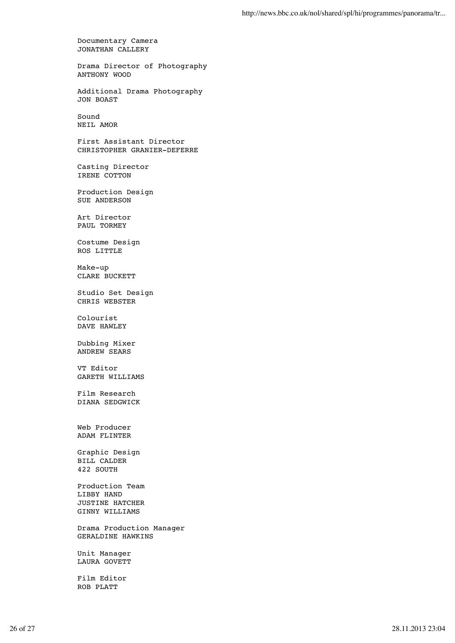Documentary Camera JONATHAN CALLERY

Drama Director of Photography ANTHONY WOOD

Additional Drama Photography JON BOAST

Sound NEIL AMOR

First Assistant Director CHRISTOPHER GRANIER-DEFERRE

Casting Director IRENE COTTON

Production Design SUE ANDERSON

Art Director PAUL TORMEY

Costume Design ROS LITTLE

Make-up CLARE BUCKETT

Studio Set Design CHRIS WEBSTER

Colourist DAVE HAWLEY

Dubbing Mixer ANDREW SEARS

VT Editor GARETH WILLIAMS

Film Research DIANA SEDGWICK

Web Producer ADAM FLINTER

Graphic Design BILL CALDER 422 SOUTH

Production Team LIBBY HAND JUSTINE HATCHER GINNY WILLIAMS

Drama Production Manager GERALDINE HAWKINS

Unit Manager LAURA GOVETT

Film Editor ROB PLATT